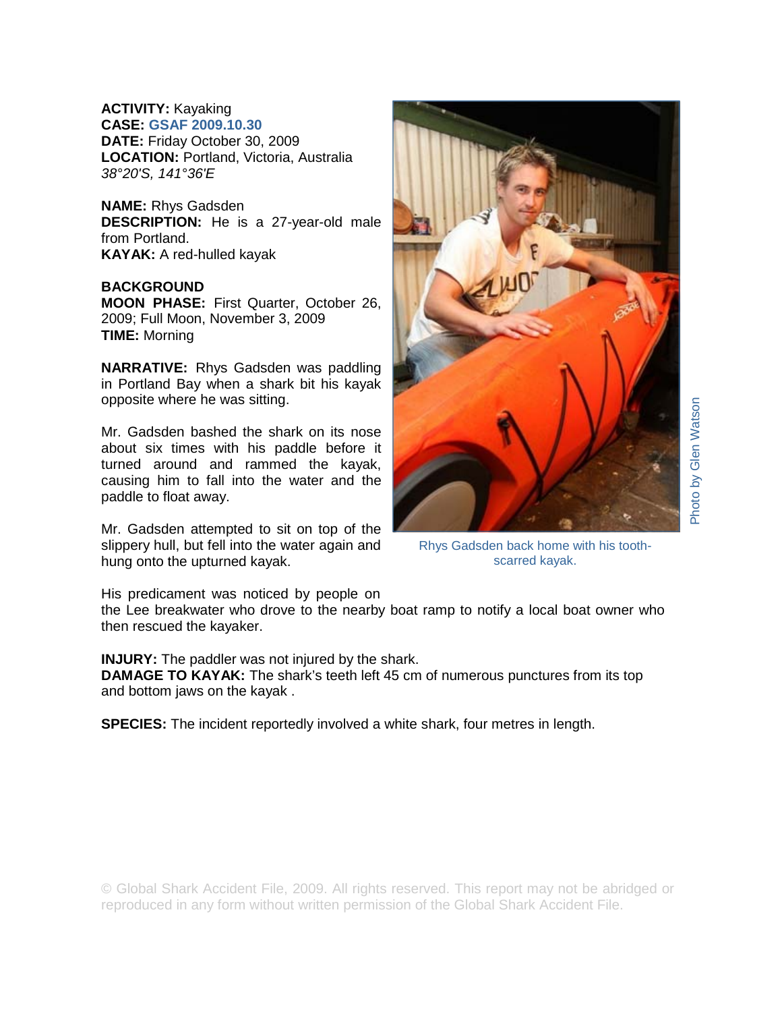**ACTIVITY:** Kayaking **CASE: GSAF 2009.10.30 DATE:** Friday October 30, 2009 **LOCATION:** Portland, Victoria, Australia *38°20'S, 141°36'E* 

**NAME:** Rhys Gadsden **DESCRIPTION:** He is a 27-year-old male from Portland. **KAYAK:** A red-hulled kayak

## **BACKGROUND**

**MOON PHASE:** First Quarter, October 26, 2009; Full Moon, November 3, 2009 **TIME:** Morning

**NARRATIVE:** Rhys Gadsden was paddling in Portland Bay when a shark bit his kayak opposite where he was sitting.

Mr. Gadsden bashed the shark on its nose about six times with his paddle before it turned around and rammed the kayak, causing him to fall into the water and the paddle to float away.

Mr. Gadsden attempted to sit on top of the slippery hull, but fell into the water again and hung onto the upturned kayak.



Rhys Gadsden back home with his toothscarred kayak.

His predicament was noticed by people on

the Lee breakwater who drove to the nearby boat ramp to notify a local boat owner who then rescued the kayaker.

**INJURY:** The paddler was not injured by the shark.

**DAMAGE TO KAYAK:** The shark's teeth left 45 cm of numerous punctures from its top and bottom jaws on the kayak .

**SPECIES:** The incident reportedly involved a white shark, four metres in length.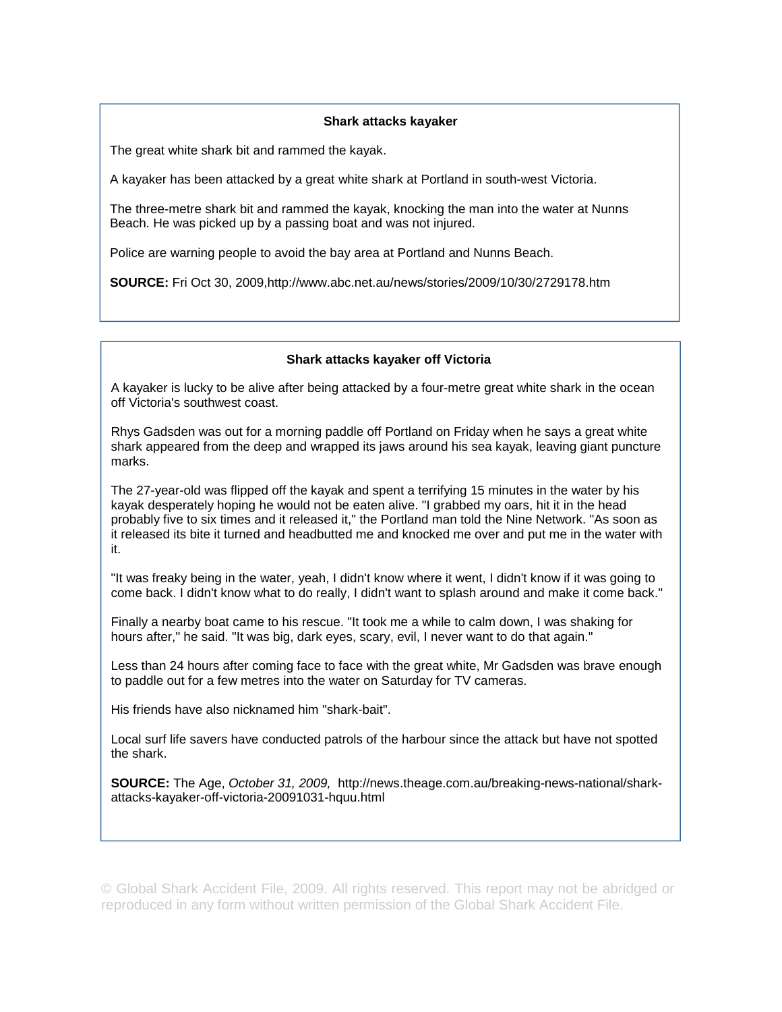## **Shark attacks kayaker**

The great white shark bit and rammed the kayak.

A kayaker has been attacked by a great white shark at Portland in south-west Victoria.

The three-metre shark bit and rammed the kayak, knocking the man into the water at Nunns Beach. He was picked up by a passing boat and was not injured.

Police are warning people to avoid the bay area at Portland and Nunns Beach.

**SOURCE:** Fri Oct 30, 2009,http://www.abc.net.au/news/stories/2009/10/30/2729178.htm

## **Shark attacks kayaker off Victoria**

A kayaker is lucky to be alive after being attacked by a four-metre great white shark in the ocean off Victoria's southwest coast.

Rhys Gadsden was out for a morning paddle off Portland on Friday when he says a great white shark appeared from the deep and wrapped its jaws around his sea kayak, leaving giant puncture marks.

The 27-year-old was flipped off the kayak and spent a terrifying 15 minutes in the water by his kayak desperately hoping he would not be eaten alive. "I grabbed my oars, hit it in the head probably five to six times and it released it," the Portland man told the Nine Network. "As soon as it released its bite it turned and headbutted me and knocked me over and put me in the water with it.

"It was freaky being in the water, yeah, I didn't know where it went, I didn't know if it was going to come back. I didn't know what to do really, I didn't want to splash around and make it come back."

Finally a nearby boat came to his rescue. "It took me a while to calm down, I was shaking for hours after," he said. "It was big, dark eyes, scary, evil, I never want to do that again."

Less than 24 hours after coming face to face with the great white, Mr Gadsden was brave enough to paddle out for a few metres into the water on Saturday for TV cameras.

His friends have also nicknamed him "shark-bait".

Local surf life savers have conducted patrols of the harbour since the attack but have not spotted the shark.

**SOURCE:** The Age, *October 31, 2009,* http://news.theage.com.au/breaking-news-national/sharkattacks-kayaker-off-victoria-20091031-hquu.html

© Global Shark Accident File, 2009. All rights reserved. This report may not be abridged or reproduced in any form without written permission of the Global Shark Accident File.